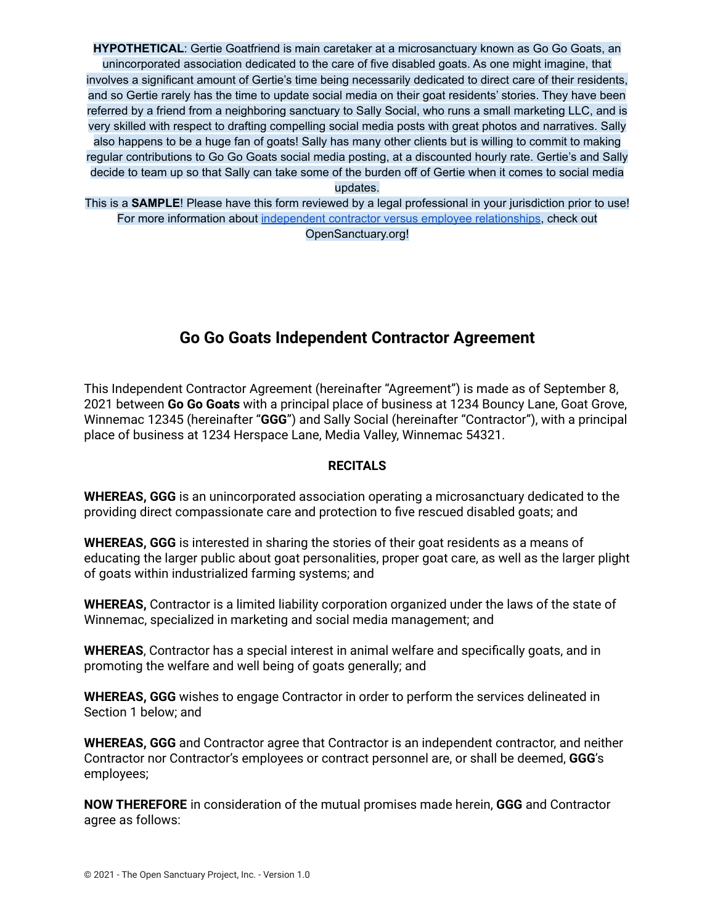**HYPOTHETICAL**: Gertie Goatfriend is main caretaker at a microsanctuary known as Go Go Goats, an unincorporated association dedicated to the care of five disabled goats. As one might imagine, that involves a significant amount of Gertie's time being necessarily dedicated to direct care of their residents, and so Gertie rarely has the time to update social media on their goat residents' stories. They have been referred by a friend from a neighboring sanctuary to Sally Social, who runs a small marketing LLC, and is very skilled with respect to drafting compelling social media posts with great photos and narratives. Sally also happens to be a huge fan of goats! Sally has many other clients but is willing to commit to making regular contributions to Go Go Goats social media posting, at a discounted hourly rate. Gertie's and Sally decide to team up so that Sally can take some of the burden off of Gertie when it comes to social media updates.

This is a **SAMPLE**! Please have this form reviewed by a legal professional in your jurisdiction prior to use! For more information about independent contractor versus employee [relationships](https://opensanctuary.org/article/independent-contractors-vs-employees-at-your-sanctuary/), check out OpenSanctuary.org!

## **Go Go Goats Independent Contractor Agreement**

This Independent Contractor Agreement (hereinafter "Agreement") is made as of September 8, 2021 between **Go Go Goats** with a principal place of business at 1234 Bouncy Lane, Goat Grove, Winnemac 12345 (hereinafter "**GGG**") and Sally Social (hereinafter "Contractor"), with a principal place of business at 1234 Herspace Lane, Media Valley, Winnemac 54321.

## **RECITALS**

**WHEREAS, GGG** is an unincorporated association operating a microsanctuary dedicated to the providing direct compassionate care and protection to five rescued disabled goats; and

**WHEREAS, GGG** is interested in sharing the stories of their goat residents as a means of educating the larger public about goat personalities, proper goat care, as well as the larger plight of goats within industrialized farming systems; and

**WHEREAS,** Contractor is a limited liability corporation organized under the laws of the state of Winnemac, specialized in marketing and social media management; and

**WHEREAS**, Contractor has a special interest in animal welfare and specifically goats, and in promoting the welfare and well being of goats generally; and

**WHEREAS, GGG** wishes to engage Contractor in order to perform the services delineated in Section 1 below; and

**WHEREAS, GGG** and Contractor agree that Contractor is an independent contractor, and neither Contractor nor Contractor's employees or contract personnel are, or shall be deemed, **GGG**'s employees;

**NOW THEREFORE** in consideration of the mutual promises made herein, **GGG** and Contractor agree as follows: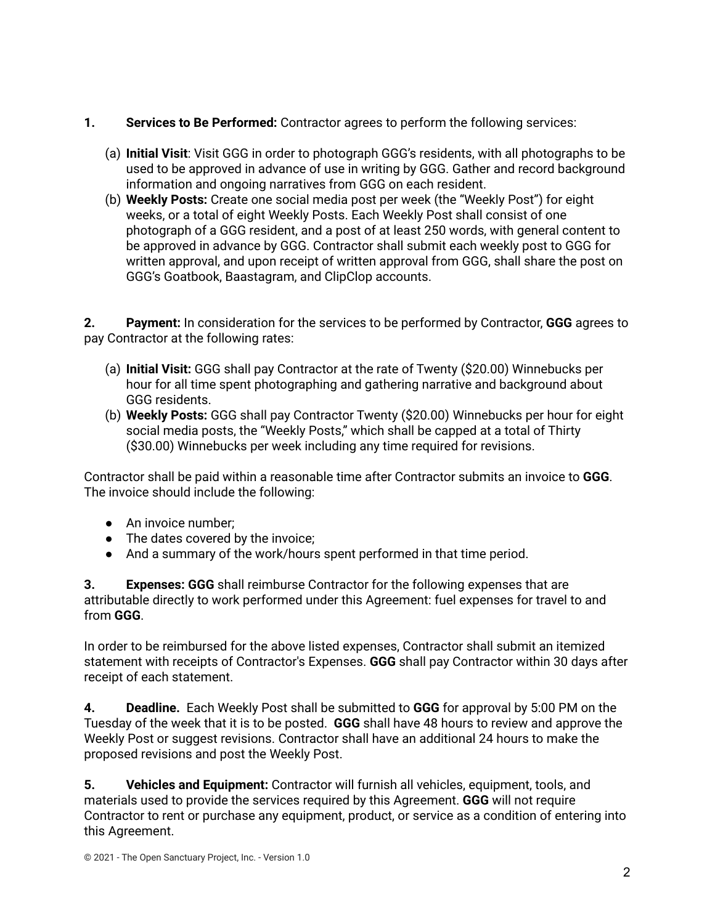- **1. Services to Be Performed:** Contractor agrees to perform the following services:
	- (a) **Initial Visit**: Visit GGG in order to photograph GGG's residents, with all photographs to be used to be approved in advance of use in writing by GGG. Gather and record background information and ongoing narratives from GGG on each resident.
	- (b) **Weekly Posts:** Create one social media post per week (the "Weekly Post") for eight weeks, or a total of eight Weekly Posts. Each Weekly Post shall consist of one photograph of a GGG resident, and a post of at least 250 words, with general content to be approved in advance by GGG. Contractor shall submit each weekly post to GGG for written approval, and upon receipt of written approval from GGG, shall share the post on GGG's Goatbook, Baastagram, and ClipClop accounts.

**2. Payment:** In consideration for the services to be performed by Contractor, **GGG** agrees to pay Contractor at the following rates:

- (a) **Initial Visit:** GGG shall pay Contractor at the rate of Twenty (\$20.00) Winnebucks per hour for all time spent photographing and gathering narrative and background about GGG residents.
- (b) **Weekly Posts:** GGG shall pay Contractor Twenty (\$20.00) Winnebucks per hour for eight social media posts, the "Weekly Posts," which shall be capped at a total of Thirty (\$30.00) Winnebucks per week including any time required for revisions.

Contractor shall be paid within a reasonable time after Contractor submits an invoice to **GGG**. The invoice should include the following:

- An invoice number;
- The dates covered by the invoice;
- And a summary of the work/hours spent performed in that time period.

**3. Expenses: GGG** shall reimburse Contractor for the following expenses that are attributable directly to work performed under this Agreement: fuel expenses for travel to and from **GGG**.

In order to be reimbursed for the above listed expenses, Contractor shall submit an itemized statement with receipts of Contractor's Expenses. **GGG** shall pay Contractor within 30 days after receipt of each statement.

**4. Deadline.** Each Weekly Post shall be submitted to **GGG** for approval by 5:00 PM on the Tuesday of the week that it is to be posted. **GGG** shall have 48 hours to review and approve the Weekly Post or suggest revisions. Contractor shall have an additional 24 hours to make the proposed revisions and post the Weekly Post.

**5. Vehicles and Equipment:** Contractor will furnish all vehicles, equipment, tools, and materials used to provide the services required by this Agreement. **GGG** will not require Contractor to rent or purchase any equipment, product, or service as a condition of entering into this Agreement.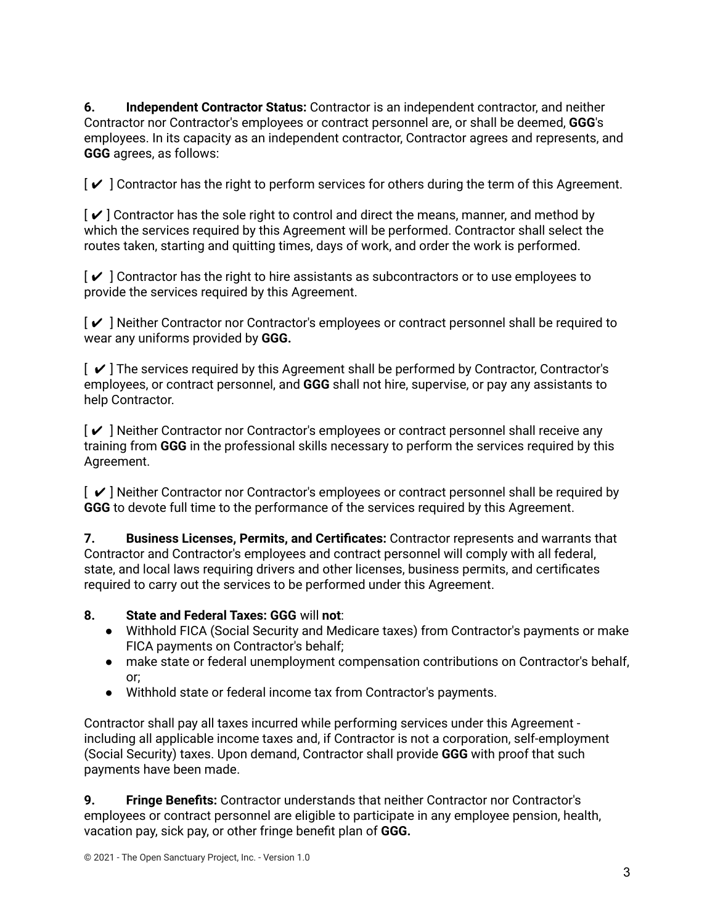**6. Independent Contractor Status:** Contractor is an independent contractor, and neither Contractor nor Contractor's employees or contract personnel are, or shall be deemed, **GGG**'s employees. In its capacity as an independent contractor, Contractor agrees and represents, and **GGG** agrees, as follows:

 $\lceil \checkmark \rceil$  Contractor has the right to perform services for others during the term of this Agreement.

 $\lceil \boldsymbol{\checkmark} \rceil$  Contractor has the sole right to control and direct the means, manner, and method by which the services required by this Agreement will be performed. Contractor shall select the routes taken, starting and quitting times, days of work, and order the work is performed.

 $\lceil \checkmark \rceil$  Contractor has the right to hire assistants as subcontractors or to use employees to provide the services required by this Agreement.

[ ✔ ] Neither Contractor nor Contractor's employees or contract personnel shall be required to wear any uniforms provided by **GGG.**

 $\lceil \vee \rceil$  The services required by this Agreement shall be performed by Contractor, Contractor's employees, or contract personnel, and **GGG** shall not hire, supervise, or pay any assistants to help Contractor.

[ ✔ ] Neither Contractor nor Contractor's employees or contract personnel shall receive any training from **GGG** in the professional skills necessary to perform the services required by this Agreement.

 $[\mathbf{v}]$  Neither Contractor nor Contractor's employees or contract personnel shall be required by **GGG** to devote full time to the performance of the services required by this Agreement.

**7. Business Licenses, Permits, and Certificates:** Contractor represents and warrants that Contractor and Contractor's employees and contract personnel will comply with all federal, state, and local laws requiring drivers and other licenses, business permits, and certificates required to carry out the services to be performed under this Agreement.

## **8. State and Federal Taxes: GGG** will **not**:

- Withhold FICA (Social Security and Medicare taxes) from Contractor's payments or make FICA payments on Contractor's behalf;
- make state or federal unemployment compensation contributions on Contractor's behalf, or;
- Withhold state or federal income tax from Contractor's payments.

Contractor shall pay all taxes incurred while performing services under this Agreement including all applicable income taxes and, if Contractor is not a corporation, self-employment (Social Security) taxes. Upon demand, Contractor shall provide **GGG** with proof that such payments have been made.

**9. Fringe Benefits:** Contractor understands that neither Contractor nor Contractor's employees or contract personnel are eligible to participate in any employee pension, health, vacation pay, sick pay, or other fringe benefit plan of **GGG.**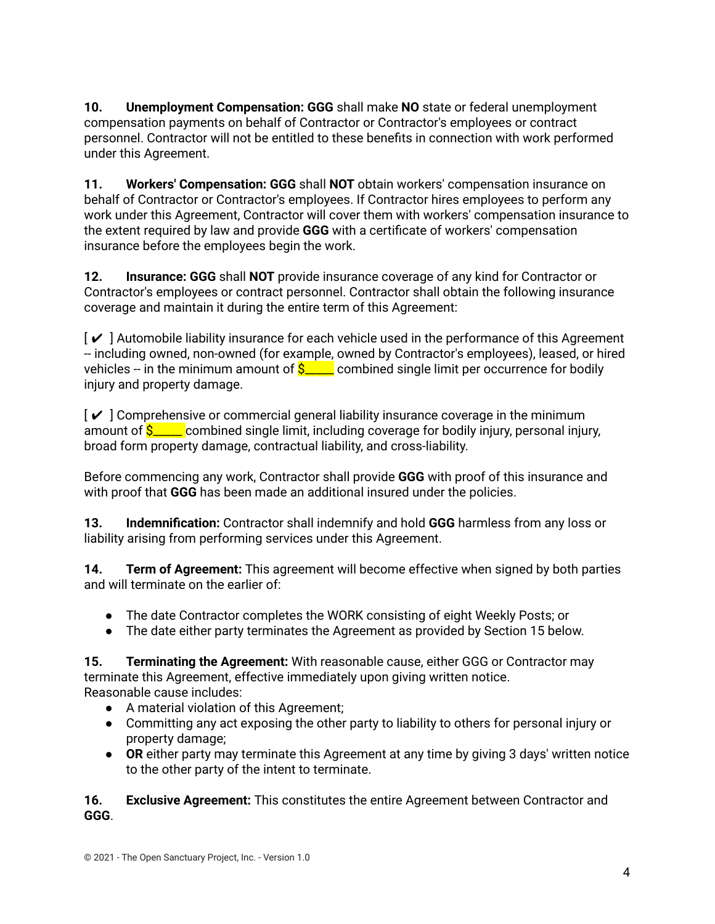**10. Unemployment Compensation: GGG** shall make **NO** state or federal unemployment compensation payments on behalf of Contractor or Contractor's employees or contract personnel. Contractor will not be entitled to these benefits in connection with work performed under this Agreement.

**11. Workers' Compensation: GGG** shall **NOT** obtain workers' compensation insurance on behalf of Contractor or Contractor's employees. If Contractor hires employees to perform any work under this Agreement, Contractor will cover them with workers' compensation insurance to the extent required by law and provide **GGG** with a certificate of workers' compensation insurance before the employees begin the work.

**12. Insurance: GGG** shall **NOT** provide insurance coverage of any kind for Contractor or Contractor's employees or contract personnel. Contractor shall obtain the following insurance coverage and maintain it during the entire term of this Agreement:

 $\mathcal{V}$  ] Automobile liability insurance for each vehicle used in the performance of this Agreement -- including owned, non-owned (for example, owned by Contractor's employees), leased, or hired vehicles -- in the minimum amount of  $S_{\text{max}}$  combined single limit per occurrence for bodily injury and property damage.

 $\lceil \boldsymbol{\checkmark} \rceil$  Comprehensive or commercial general liability insurance coverage in the minimum amount of  $\frac{S_{\text{max}}}{S_{\text{max}}}$  combined single limit, including coverage for bodily injury, personal injury, broad form property damage, contractual liability, and cross-liability.

Before commencing any work, Contractor shall provide **GGG** with proof of this insurance and with proof that **GGG** has been made an additional insured under the policies.

**13. Indemnification:** Contractor shall indemnify and hold **GGG** harmless from any loss or liability arising from performing services under this Agreement.

**14. Term of Agreement:** This agreement will become effective when signed by both parties and will terminate on the earlier of:

- The date Contractor completes the WORK consisting of eight Weekly Posts; or
- The date either party terminates the Agreement as provided by Section 15 below.

**15. Terminating the Agreement:** With reasonable cause, either GGG or Contractor may terminate this Agreement, effective immediately upon giving written notice. Reasonable cause includes:

- A material violation of this Agreement;
- Committing any act exposing the other party to liability to others for personal injury or property damage;
- **OR** either party may terminate this Agreement at any time by giving 3 days' written notice to the other party of the intent to terminate.

**16. Exclusive Agreement:** This constitutes the entire Agreement between Contractor and **GGG**.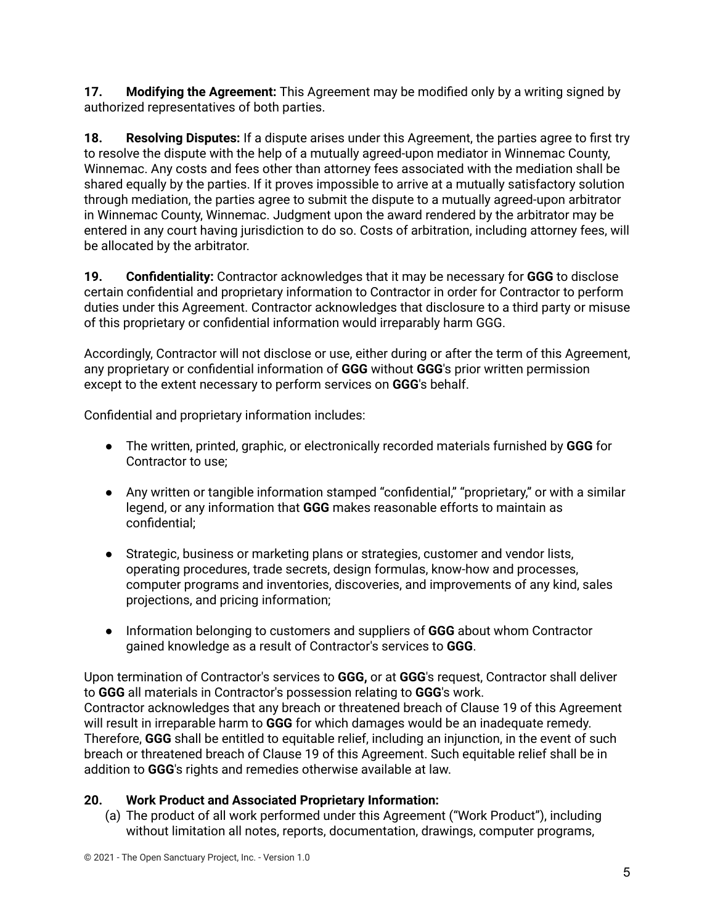**17. Modifying the Agreement:** This Agreement may be modified only by a writing signed by authorized representatives of both parties.

**18. Resolving Disputes:** If a dispute arises under this Agreement, the parties agree to first try to resolve the dispute with the help of a mutually agreed-upon mediator in Winnemac County, Winnemac. Any costs and fees other than attorney fees associated with the mediation shall be shared equally by the parties. If it proves impossible to arrive at a mutually satisfactory solution through mediation, the parties agree to submit the dispute to a mutually agreed-upon arbitrator in Winnemac County, Winnemac. Judgment upon the award rendered by the arbitrator may be entered in any court having jurisdiction to do so. Costs of arbitration, including attorney fees, will be allocated by the arbitrator.

**19. Confidentiality:** Contractor acknowledges that it may be necessary for **GGG** to disclose certain confidential and proprietary information to Contractor in order for Contractor to perform duties under this Agreement. Contractor acknowledges that disclosure to a third party or misuse of this proprietary or confidential information would irreparably harm GGG.

Accordingly, Contractor will not disclose or use, either during or after the term of this Agreement, any proprietary or confidential information of **GGG** without **GGG**'s prior written permission except to the extent necessary to perform services on **GGG**'s behalf.

Confidential and proprietary information includes:

- The written, printed, graphic, or electronically recorded materials furnished by **GGG** for Contractor to use;
- Any written or tangible information stamped "confidential," "proprietary," or with a similar legend, or any information that **GGG** makes reasonable efforts to maintain as confidential;
- Strategic, business or marketing plans or strategies, customer and vendor lists, operating procedures, trade secrets, design formulas, know-how and processes, computer programs and inventories, discoveries, and improvements of any kind, sales projections, and pricing information;
- Information belonging to customers and suppliers of **GGG** about whom Contractor gained knowledge as a result of Contractor's services to **GGG**.

Upon termination of Contractor's services to **GGG,** or at **GGG**'s request, Contractor shall deliver to **GGG** all materials in Contractor's possession relating to **GGG**'s work. Contractor acknowledges that any breach or threatened breach of Clause 19 of this Agreement will result in irreparable harm to **GGG** for which damages would be an inadequate remedy. Therefore, **GGG** shall be entitled to equitable relief, including an injunction, in the event of such breach or threatened breach of Clause 19 of this Agreement. Such equitable relief shall be in addition to **GGG**'s rights and remedies otherwise available at law.

## **20. Work Product and Associated Proprietary Information:**

(a) The product of all work performed under this Agreement ("Work Product"), including without limitation all notes, reports, documentation, drawings, computer programs,